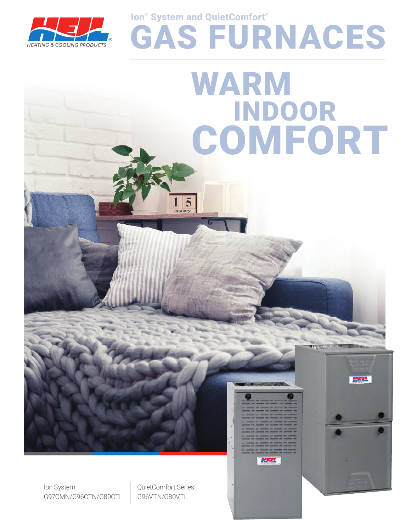

# GAS FURNACES WARM INDOOR COMFORT

Ion® System and QuietComfort®

 $1\vert 5$ 

Ion System G97CMN/G96CTN/G80CTL QuietComfort Series G96VTN/G80VTL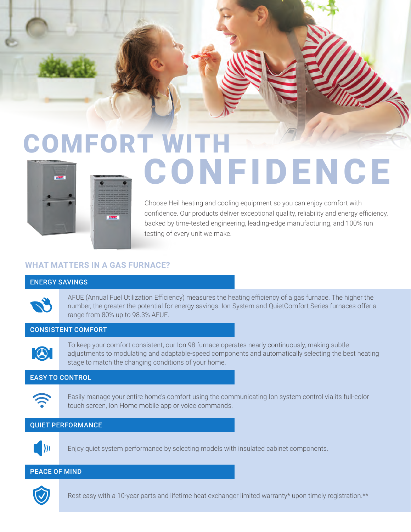# COMFORT WITH CONFIDENCE

Choose Heil heating and cooling equipment so you can enjoy comfort with confidence. Our products deliver exceptional quality, reliability and energy efficiency, backed by time-tested engineering, leading-edge manufacturing, and 100% run testing of every unit we make.

## **WHAT MATTERS IN A GAS FURNACE?**

#### ENERGY SAVINGS



AFUE (Annual Fuel Utilization Efficiency) measures the heating efficiency of a gas furnace. The higher the number, the greater the potential for energy savings. Ion System and QuietComfort Series furnaces offer a range from 80% up to 98.3% AFUE.

## CONSISTENT COMFORT



To keep your comfort consistent, our Ion 98 furnace operates nearly continuously, making subtle adjustments to modulating and adaptable-speed components and automatically selecting the best heating stage to match the changing conditions of your home.

#### EASY TO CONTROL



Easily manage your entire home's comfort using the communicating Ion system control via its full-color touch screen, Ion Home mobile app or voice commands.

#### QUIET PERFORMANCE



Enjoy quiet system performance by selecting models with insulated cabinet components.

#### PEACE OF MIND



Rest easy with a 10-year parts and lifetime heat exchanger limited warranty\* upon timely registration.\*\*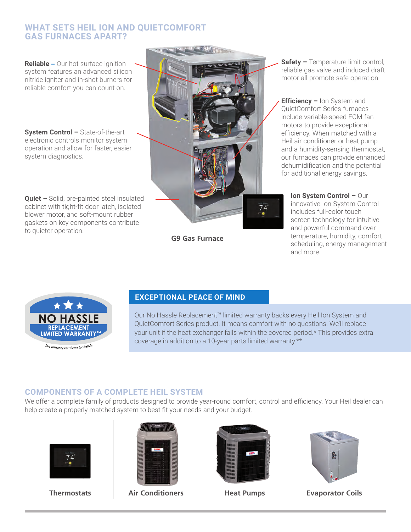# **WHAT SETS HEIL ION AND QUIETCOMFORT GAS FURNACES APART?**

**Reliable** – Our hot surface ignition system features an advanced silicon nitride igniter and in-shot burners for reliable comfort you can count on.

**System Control –** State-of-the-art electronic controls monitor system operation and allow for faster, easier system diagnostics.

**Quiet –** Solid, pre-painted steel insulated cabinet with tight-fit door latch, isolated blower motor, and soft-mount rubber gaskets on key components contribute to quieter operation.



**G9 Gas Furnace**

**Safety –** Temperature limit control, reliable gas valve and induced draft motor all promote safe operation.

**Efficiency –** Ion System and QuietComfort Series furnaces include variable-speed ECM fan motors to provide exceptional efficiency. When matched with a Heil air conditioner or heat pump and a humidity-sensing thermostat, our furnaces can provide enhanced dehumidification and the potential for additional energy savings.

**Ion System Control –** Our innovative Ion System Control includes full-color touch screen technology for intuitive and powerful command over temperature, humidity, comfort scheduling, energy management and more.



#### **EXCEPTIONAL PEACE OF MIND**

Our No Hassle Replacement™ limited warranty backs every Heil Ion System and QuietComfort Series product. It means comfort with no questions. We'll replace your unit if the heat exchanger fails within the covered period.\* This provides extra coverage in addition to a 10-year parts limited warranty.\*\*

# **COMPONENTS OF A COMPLETE HEIL SYSTEM**

We offer a complete family of products designed to provide year-round comfort, control and efficiency. Your Heil dealer can help create a properly matched system to best fit your needs and your budget.





**Thermostats Air Conditioners Heat Pumps Evaporator Coils**